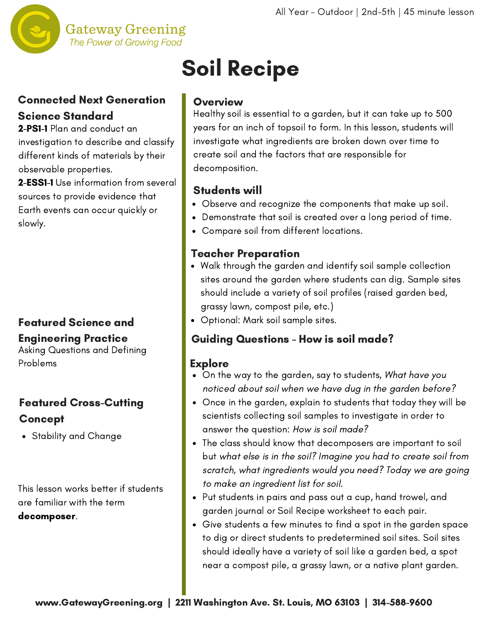

#### **Gateway Greening** The Power of Growing Food

#### Connected Next Generation Science Standard

2-PS1-1 Plan and conduct an investigation to describe and classify different kinds of materials by their observable properties.

2-ESS1-1 Use information from several sources to provide evidence that Earth events can occur quickly or slowly.

### Featured Science and Engineering Practice

Asking Questions and Defining Problems

## Featured Cross-Cutting **Concept**

Stability and Change

This lesson works better if students are familiar with the term decomposer.

# Soil Recipe

### Overview

Healthy soil is essential to a garden, but it can take up to 500 years for an inch of topsoil to form. In this lesson, students will investigate what ingredients are broken down over time to create soil and the factors that are responsible for decomposition.

## Students will

- Observe and recognize the components that make up soil.
- Demonstrate that soil is created over a long period of time.
- Compare soil from different locations.

## Teacher Preparation

- Walk through the garden and identify soil sample collection sites around the garden where students can dig. Sample sites should include a variety of soil profiles (raised garden bed, grassy lawn, compost pile, etc.)
- Optional: Mark soil sample sites.

### Guiding Questions - How is soil made?

### **Explore**

- On the way to the garden, say to students, What have you noticed about soil when we have dug in the garden before?
- Once in the garden, explain to students that today they will be scientists collecting soil samples to investigate in order to answer the question: How is soil made?
- The class should know that decomposers are important to soil but what else is in the soil? Imagine you had to create soil from scratch, what ingredients would you need? Today we are going to make an ingredient list for soil.
- Put students in pairs and pass out a cup, hand trowel, and garden journal or Soil Recipe worksheet to each pair.
- Give students a few minutes to find a spot in the garden space to dig or direct students to predetermined soil sites. Soil sites should ideally have a variety of soil like a garden bed, a spot near a compost pile, a grassy lawn, or a native plant garden.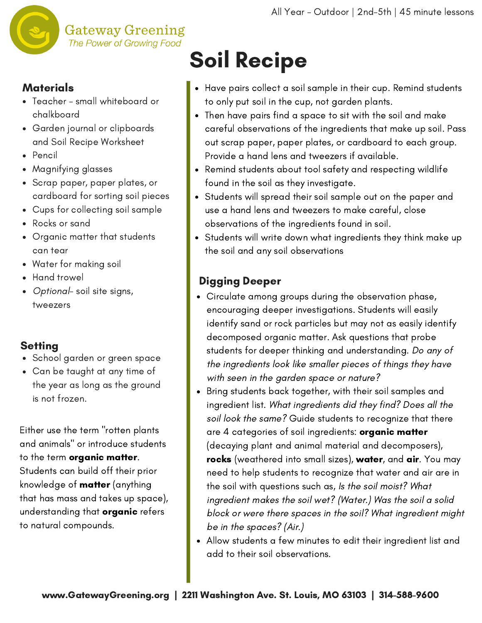

#### **Materials**

- Teacher small whiteboard or chalkboard
- Garden journal or clipboards and Soil Recipe Worksheet
- Pencil
- Magnifying glasses
- Scrap paper, paper plates, or cardboard for sorting soil pieces
- Cups for collecting soil sample
- Rocks or sand  $\bullet$
- Organic matter that students can tear
- Water for making soil
- Hand trowel  $\bullet$
- Optional- soil site signs, tweezers

#### **Setting**

- School garden or green space
- Can be taught at any time of the year as long as the ground is not frozen.

Either use the term "rotten plants and animals" or introduce students to the term organic matter. Students can build off their prior knowledge of matter (anything that has mass and takes up space), understanding that **organic** refers to natural compounds.

# Soil Recipe

- Have pairs collect a soil sample in their cup. Remind students to only put soil in the cup, not garden plants.
- Then have pairs find a space to sit with the soil and make careful observations of the ingredients that make up soil. Pass out scrap paper, paper plates, or cardboard to each group. Provide a hand lens and tweezers if available.
- Remind students about tool safety and respecting wildlife found in the soil as they investigate.
- Students will spread their soil sample out on the paper and use a hand lens and tweezers to make careful, close observations of the ingredients found in soil.
- Students will write down what ingredients they think make up the soil and any soil observations

## Digging Deeper

- Circulate among groups during the observation phase, encouraging deeper investigations. Students will easily identify sand or rock particles but may not as easily identify decomposed organic matter. Ask questions that probe students for deeper thinking and understanding. Do any of the ingredients look like smaller pieces of things they have with seen in the garden space or nature?
- Bring students back together, with their soil samples and ingredient list. What ingredients did they find? Does all the soil look the same? Guide students to recognize that there are 4 categories of soil ingredients: **organic matter** (decaying plant and animal material and decomposers), rocks (weathered into small sizes), water, and air. You may need to help students to recognize that water and air are in the soil with questions such as, Is the soil moist? What ingredient makes the soil wet? (Water.) Was the soil a solid block or were there spaces in the soil? What ingredient might be in the spaces? (Air.)
- Allow students a few minutes to edit their ingredient list and add to their soil observations.